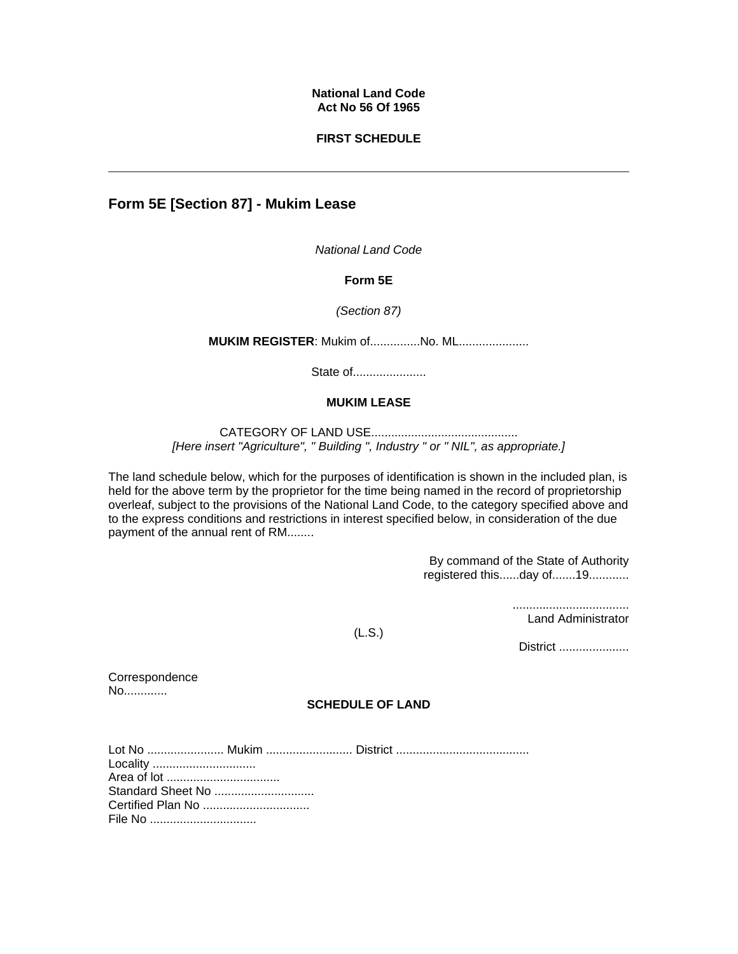### **National Land Code Act No 56 Of 1965**

### **FIRST SCHEDULE**

# **Form 5E [Section 87] - Mukim Lease**

*National Land Code* 

#### **Form 5E**

### *(Section 87)*

**MUKIM REGISTER**: Mukim of...............No. ML.....................

State of......................

### **MUKIM LEASE**

#### CATEGORY OF LAND USE............................................ *[Here insert "Agriculture", " Building ", Industry " or " NIL", as appropriate.]*

The land schedule below, which for the purposes of identification is shown in the included plan, is held for the above term by the proprietor for the time being named in the record of proprietorship overleaf, subject to the provisions of the National Land Code, to the category specified above and to the express conditions and restrictions in interest specified below, in consideration of the due payment of the annual rent of RM........

> By command of the State of Authority registered this......day of.......19.............

> > ...................................

Land Administrator

District ......................

(L.S.)

**Correspondence** No.............

# **SCHEDULE OF LAND**

| Locality          |  |
|-------------------|--|
|                   |  |
| Standard Sheet No |  |
| Certified Plan No |  |
|                   |  |